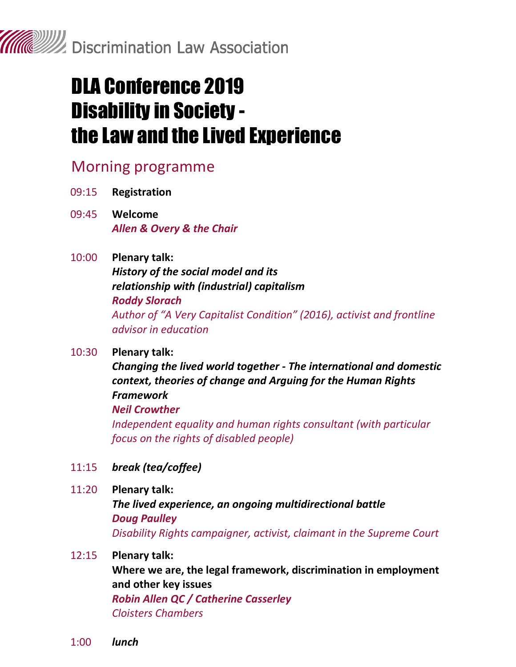

# DLA Conference 2019 Disability in Society the Law and the Lived Experience

### Morning programme

- 09:15 **Registration**
- 09:45 **Welcome**  *Allen & Overy & the Chair*
- 10:00 **Plenary talk:** *History of the social model and its relationship with (industrial) capitalism Roddy Slorach Author of "A Very Capitalist Condition" (2016), activist and frontline advisor in education*

### 10:30 **Plenary talk:**

*Changing the lived world together - The international and domestic context, theories of change and Arguing for the Human Rights Framework Neil Crowther Independent equality and human rights consultant (with particular* 

*focus on the rights of disabled people)*

- 11:15 *break (tea/coffee)*
- 11:20 **Plenary talk:**

*The lived experience, an ongoing multidirectional battle Doug Paulley Disability Rights campaigner, activist, claimant in the Supreme Court* 

### 12:15 **Plenary talk:**

**Where we are, the legal framework, discrimination in employment and other key issues** *Robin Allen QC / Catherine Casserley*

```
Cloisters Chambers
```
1:00 *lunch*